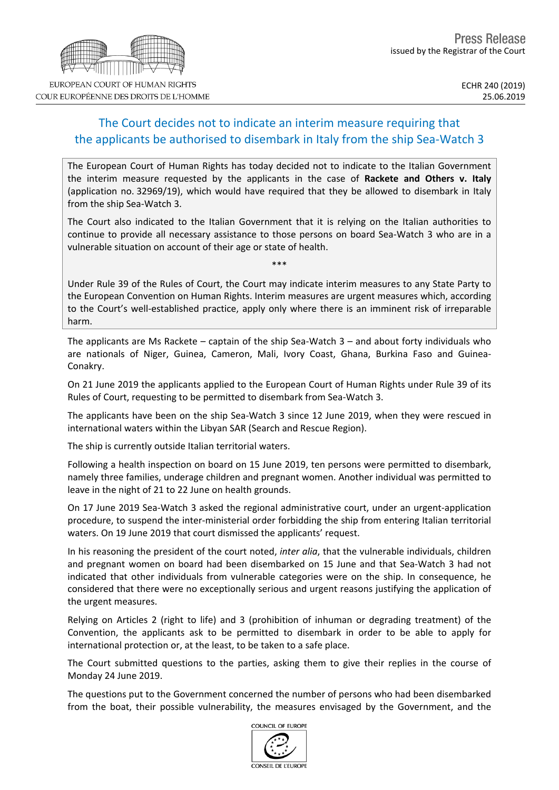## The Court decides not to indicate an interim measure requiring that the applicants be authorised to disembark in Italy from the ship Sea-Watch 3

The European Court of Human Rights has today decided not to indicate to the Italian Government the interim measure requested by the applicants in the case of **Rackete and Others v. Italy** (application no. 32969/19), which would have required that they be allowed to disembark in Italy from the ship Sea-Watch 3.

The Court also indicated to the Italian Government that it is relying on the Italian authorities to continue to provide all necessary assistance to those persons on board Sea-Watch 3 who are in a vulnerable situation on account of their age or state of health.

Under Rule 39 of the Rules of Court, the Court may indicate interim measures to any State Party to the European Convention on Human Rights. Interim measures are urgent measures which, according to the Court's well-established practice, apply only where there is an imminent risk of irreparable harm.

The applicants are Ms Rackete – captain of the ship Sea-Watch  $3$  – and about forty individuals who are nationals of Niger, Guinea, Cameron, Mali, Ivory Coast, Ghana, Burkina Faso and Guinea-Conakry.

On 21 June 2019 the applicants applied to the European Court of Human Rights under Rule 39 of its Rules of Court, requesting to be permitted to disembark from Sea-Watch 3.

The applicants have been on the ship Sea-Watch 3 since 12 June 2019, when they were rescued in international waters within the Libyan SAR (Search and Rescue Region).

The ship is currently outside Italian territorial waters.

Following a health inspection on board on 15 June 2019, ten persons were permitted to disembark, namely three families, underage children and pregnant women. Another individual was permitted to leave in the night of 21 to 22 June on health grounds.

On 17 June 2019 Sea-Watch 3 asked the regional administrative court, under an urgent-application procedure, to suspend the inter-ministerial order forbidding the ship from entering Italian territorial waters. On 19 June 2019 that court dismissed the applicants' request.

In his reasoning the president of the court noted, *inter alia*, that the vulnerable individuals, children and pregnant women on board had been disembarked on 15 June and that Sea-Watch 3 had not indicated that other individuals from vulnerable categories were on the ship. In consequence, he considered that there were no exceptionally serious and urgent reasons justifying the application of the urgent measures.

Relying on Articles 2 (right to life) and 3 (prohibition of inhuman or degrading treatment) of the Convention, the applicants ask to be permitted to disembark in order to be able to apply for international protection or, at the least, to be taken to a safe place.

The Court submitted questions to the parties, asking them to give their replies in the course of Monday 24 June 2019.

The questions put to the Government concerned the number of persons who had been disembarked from the boat, their possible vulnerability, the measures envisaged by the Government, and the





COUR EUROPÉENNE DES DROITS DE L'HOMME

\*\*\*